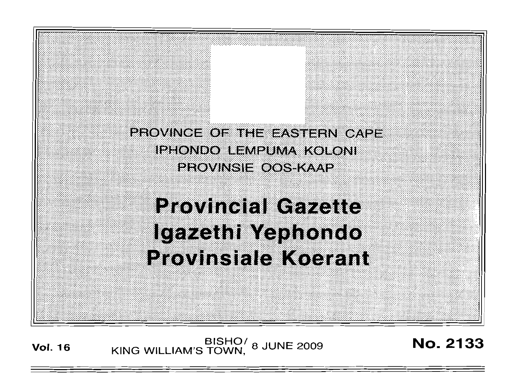PROVINCE OF THE EASTERN CAPE IPHONDO LEMPUMA KOLONI **PROVINSIE OOS-KAAP** 

# **Provincial Gazette** Igazethi Yephondo **Provinsiale Koerant**

**Vol. 16** KING WILLIAM'S TOWN, 8 JUNE 2009 **No. 2133**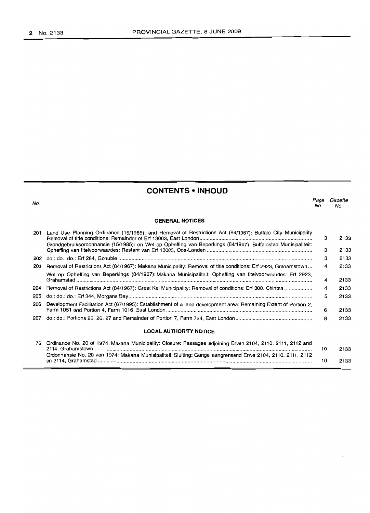# **CONTENTS -INHOUD**

Page Gazette

**GENERAL NOTICES** No. No. 201 Land Use Planning Ordinance (15/1985): and Removal of Restrictions Act (84/1967): Buffalo City Municipality Removal of title conditions: Remainder of Erf 13003, East London . Grondgebruiksordonnansie (15/1985): en Wet op Opheffing van Beperkings (84/1967): Buffalostad Munisipaliteit: Opheffing van titelvoorwaardes: Restant van Erf 13003, Oos-Londen . 202 do.: do.: do.: Erf 284, Gonubie .. 203 Removal of Restrictions Act (84/1967): Makana Municipality: Removal of title conditions: Erf 2923, Grahamstown . Wet op Opheffing van Beperkings (84/1967): Makana Munisipaliteit: Opheffing van titelvoorwaardes: Erf 2923, Grahamstad . 204 Removal of Restrictions Act (84/1967): Great Kei Municipality: Removal of conditions: Erf 300, Chintsa . 205 do.: do.: do.: Erf 344, Morgans Bay . 206 Development Facilitation Act (67/1995): Establishment of a land development area: Remaining Extent of Portion 2, Farm 1051 and Portion 4, Farm 1016, East London .. 207 do.: do.: Portions 25, 26, 27 and Remainder of Portion 7, Farm 724, East London . **LOCAL AUTHORITY NOTICE** 3 2133 3 2133 3 2133 4 2133 4 2133 4 2133 5 2133 6 2133 8 2133

| 76   Ordinance No. 20 of 1974: Makana Municipality: Closure: Passages adjoining Erven 2104, 2110, 2111, 2112 and |      |
|------------------------------------------------------------------------------------------------------------------|------|
|                                                                                                                  | 2133 |
| Ordonnansie No. 20 van 1974: Makana Munisipaliteit: Sluiting: Gange aangrensend Erwe 2104, 2110, 2111, 2112      |      |
|                                                                                                                  | 2133 |
|                                                                                                                  |      |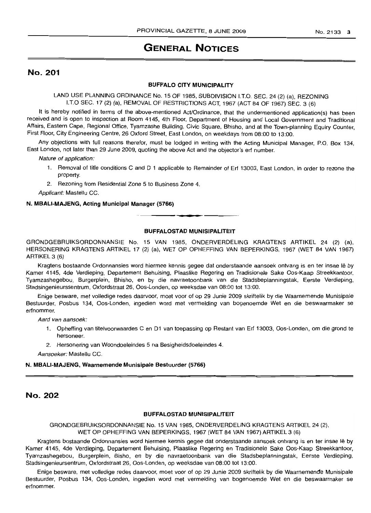# **GENERAL NOTICES**

# No. 201

# **BUFFALO CITY MUNICIPALITY**

LAND USE PLANNING ORDINANCE No. 15 OF 1985, SUBDIVISION I.T.O. SEC. 24 (2) (a), REZONING ITO SEC. 17 (2) (a), REMOVAL OF RESTRICTIONS ACT, 1967 (ACT 84 OF 1967) SEC. 3 (6)

It is hereby notified in terms of the above-mentioned AcVOrdinance, that the undermentioned application(s) has been received and is open to inspection at Room 4145, 4th Floor, Department of Housing and Local Government and Traditional Affairs, Eastern Cape, Regional Office, Tyamzashe Building, Civic Square, Bhisho, and at the Town-planning Equiry Counter, First Floor, City Engineering Centre, 26 Oxford Street, East London, on weekdays from 08:00 to 13:00.

Any objections with full reasons therefor, must be lodged in writing with the Acting Municipal Manager, P.O. Box 134, East London, not later than 29 June 2009, quoting the above Act and the objector's erf number.

Nature of application:

- 1. Removal of title conditions C and 0 1 applicable to Remainder of Erf 13003, East London, in order to rezone the property.
- 2. Rezoning from Residential Zone 5 to Business Zone 4.

Applicant: Mastellu CC.

# **N. MBALI-MAJENG, Acting Municipal Manager (5766)**

#### **BUFFALOSTAD MUNISIPALITEIT**

<sup>I</sup> **••**

GRONDGEBRUIKSORDONNANSIE No. 15 VAN 1985, ONDERVERDELING KRAGTENS ARTIKEL 24 (2) (a), HERSONERING KRAGTENS ARTIKEL 17 (2) (a), WET OP OPHEFFING VAN BEPERKINGS, 1967 (WET 84 VAN 1967) ARTIKEL 3 (6)

Kragtens bostaande Ordonnansies word hiermee kennis gegee dat onderstaande aansoek ontvang is en ter insae Ie by Kamer 4145, 4de Verdieping, Departement Behuising, Plaaslike Regering en Tradisionele Sake Oos-Kaap Streekkantoor, Tyamzashegebou, Burgerplein, Bhisho, en by die navraetoonbank van die Stadsbeplanningstak, Eerste Verdieping, Stadsingenieurssentrum, Oxfordstraat 26, Oos-Londen, op weeksdae van 08:00 tot 13:00.

Enige besware, met volledige redes daarvoor, moet voor of op 29 Junie 2009 skriftelik by die Waarnemende Munisipale Bestuurder, Posbus 134, Oos-Londen, ingedien word met vermelding van bogenoemde Wet en die beswaarmaker se erfnommer.

Aard van aansoek:

- 1. Opheffing van titelvoorwaardes C en 01 van toepassing op Restant van Erf 13003, Oos-Londen, om die grand te hersoneer.
- 2. Hersonering van Woondoeleindes 5 na Besigheidsdoeleindes 4.

Aansoeker: Mastellu CC.

#### **N. MBALI-MAJENG, Waarnemende Munisipale Bestuurder (5766)**

# No. 202

#### **BUFFALOSTAD MUNISIPALITEIT**

### GRONDGEBRUIKSORDONNANSIE No. 15 VAN 1985, ONDERVERDELING KRAGTENS ARTIKEL 24 (2), WET OP OPHEFFING VAN BEPERKINGS, 1967 (WET 84 VAN 1967) ARTIKEL 3 (6)

Kragtens bostaande Ordonnansies word hiermee kennis gegee dat onderstaande aansoek ontvang is en ter insae lê by Kamer 4145, 4de Verdieping, Departement Behuising, Plaaslike Regering en Tradisionele Sake Oos-Kaap Streekkantoor, Tyamzashegebou, Burgerplein, Bisho, en by die navraetoonbank van die Stadsbeplanningstak, Eerste Verdieping, Stadsingenieursentrum, Oxfordstraat 26, Oos-Lcnden, op weeksdae van 08:00 tot 13:00.

Enige besware, met volledige redes daarvoor, moet voor of op 29 Junie 2009 skriftelik by die Waarnemende Munisipale Bestuurder, Posbus 134, Oos-Londen, ingedien word met vermelding van bogenoemde Wet en die beswaarmaker se erfnommer.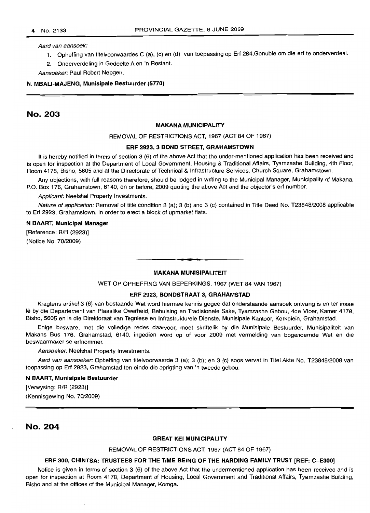Aard van aansoek:

- 1. Opheffing van titelvoorwaardes C (a), (c) en (d) van toepassing op Erf 284,Gonubie om die erf te onderverdeel.
- 2. Onderverdeling in Gedeelte A en 'n Restant.

Aansoeker: Paul Robert Nepgen.

#### N. MBALI-MAJENG, Munisipale Bestuurder (5770)

# No. 203

#### MAKANA MUNICIPALITY

#### REMOVAL OF RESTRICTIONS ACT, 1967 (ACT 84 OF 1967)

#### ERF 2923, 3 BOND STREET, GRAHAMSTOWN

It is hereby notified in terms of section 3 (6) of the above Act that the under-mentioned application has been received and is open for inspection at the Department of Local Government, Housing & Traditional Affairs, Tyamzashe Building, 4th Floor, Room 4178, Bisho, 5605 and at the Directorate of Technical & Infrastructure Services, Church Square, Grahamstown.

Any objections, with full reasons therefore, should be lodged in writing to the Municipal Manager, Municipality of Makana, P.O. Box 176, Grahamstown, 6140, on or before, 2009 quoting the above Act and the objector's erf number.

Applicant: Neelshal Property Investments.

Nature of application: Removal of title condition 3 (a); 3 (b) and 3 (c) contained in Title Deed No. T23848/2008 applicable to Erf 2923, Grahamstown, in order to erect a block of upmarket flats.

#### N BAART, Municipal Manager

[Reference: R/R (2923)]

(Notice No. 70/2009)

#### MAKANA MUNISIPALITEIT

**• •**

WET OP OPHEFFING VAN BEPERKINGS, 1967 (WET 84 VAN 1967)

### ERF 2923, BONDSTRAAT 3, GRAHAMSTAD

Kragtens artikel 3 (6) van bostaande Wet word hiermee kennis gegee dat onderstaande aansoek ontvang is en ter insae Ie by die Departement van Plaaslike Owerheid, Behuising en Tradisionele Sake, Tyamzashe Gebou, 4de Vloer, Kamer 4178, Bisho, 5605 en in die Direktoraat van Tegniese en Infrastrukturele Dienste, Munisipale Kantoor, Kerkplein, Grahamstad.

Enige besware, met die volledige redes daarvoor, moet skriftelik by die Munisipale Bestuurder, Munisipaliteit van Makans Bus 176, Grahamstad, 6140, ingedien word op of voor 2009 met vermelding van bogenoemde Wet en die beswaarmaker se erfnommer.

Aansoeker: Neelshal Property Investments.

Aard van aansoeker: Opheffing van titelvoorwaarde 3 (a); 3 (b); en 3 (c) soos vervat in Titel Akte No. T23848/2008 van toepassing op Erf 2923, Grahamstad ten einde die oprigting van 'n tweede gebou.

#### N BAART, Munisipale Bestuurder

[Verwysing: R/R (2923)] (Kennisgewing No. 70/2009)

# No. 204

#### GREAT KEI MUNICIPALITY

#### REMOVAL OF RESTRICTIONS ACT, 1967 (ACT 84 OF 1967)

# ERF 300, CHINTSA: TRUSTEES FOR THE TIME BEING OF THE HARDING FAMILY TRUST [REF: C-E300]

Notice is given in terms of section 3 (6) of the above Act that the undermentioned application has been received and is open for inspection at Room 4178, Department of Housing, Local Government and Traditional Affairs, Tyamzashe Building, Bisho and at the offices of the Municipal Manager, Komga.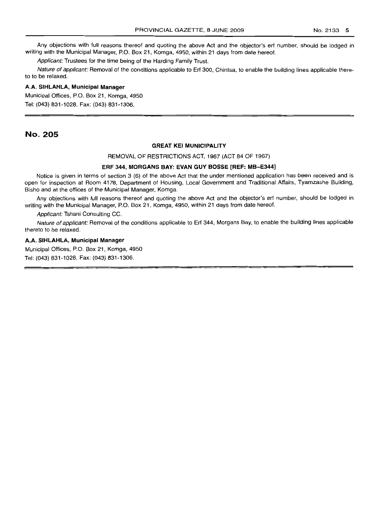Any objections with full reasons thereof and quoting the above Act and the objector's erf number, should be lodged in writing with the Municipal Manager, P.O. Box 21, Komga, 4950, within 21 days from date hereof.

Applicant: Trustees for the time being of the Harding Family Trust.

Nature of applicant: Removal of the conditions applicable to Erf 300, Chintsa, to enable the building lines applicable thereto to be relaxed.

### **A.A. SIHLAHLA, Municipal Manager**

Municipal Offices, P.O. Box 21, Komga, 4950 Tel: (043) 831-1028. Fax: (043) 831-1306.

# No. 205

#### **GREAT KEI MUNICIPALITY**

REMOVAL OF RESTRICTIONS ACT, 1967 (ACT 84 OF 1967)

# **ERF 344, MORGANS BAY: EVAN GUY BOSSE [REF: MB-E344]**

Notice is given in terms of section 3 (6) of the above Act that the under mentioned application has been received and is open for inspection at Room 4178, Department of Housing, Local Government and Traditional Affairs, Tyamzashe Building, Bisho and at the offices of the Municipal Manager, Komga.

Any objections with full reasons thereof and quoting the above Act and the objector's erf number, should be lodged in writing with the Municipal Manager, P.O. Box 21, Komga, 4950, within 21 days from date hereof.

Applicant: Tshani Consulting CC.

Nature of applicant: Removal of the conditions applicable to Erf 344, Morgans Bay, to enable the building lines applicable thereto to be relaxed.

# **A.A. SIHLAHLA, Municipal Manager**

Municipal Offices, P.O. Box 21, Komga, 4950 Tel: (043) 831-1028. Fax: (043) B31-1306.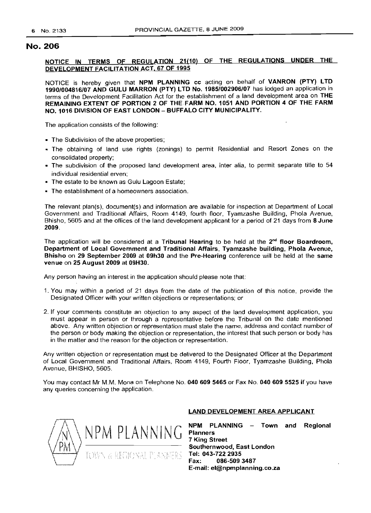# NOTICE IN TERMS OF REGULATION 21(10) OF THE REGULATIONS UNDER THE DEVELOPMENT FACILITATION ACT. 67 OF 1995

NOTICE is hereby given that NPM PLANNING cc acting on behalf of VANRON (PTY) LTD 1990/004816/07 AND GULU MARRON (PTY) LTD No. 1985/002906/07 has lodged an application in terms of the Development Facilitation Act for the establishment of a land development area on THE REMAINING EXTENT OF PORTION 2 OF THE FARM NO. 1051 AND PORTION 4 OF THE FARM NO. 1016 DIVISION OF EAST LONDON - BUFFALO CITY MUNICIPALITY.

The application consists of the following:

- The Subdivision of the above properties;
- The obtaining of land use rights (zonings) to permit Residential and Resort Zones on the consolidated property;
- The subdivision of the proposed land development area, inter alia, to permit separate title to 54 individual residential erven;
- The estate to be known as Gulu Lagoon Estate;
- The establishment of a homeowners association.

The relevant plan(s), document(s) and information are available for inspection at Department of Local Government and Traditional Affairs, Room 4149, fourth floor, Tyamzashe Building, Phola Avenue, Bhisho, 5605 and at the offices of the land development applicant for a period of 21 days from 8 June 2009.

The application will be considered at a Tribunal Hearing to be held at the  $2<sup>nd</sup>$  floor Boardroom, Department of Local Government and Traditional Affairs, Tyamzashe building, Phola Avenue, Bhisho on 29 September 2009 at 09h30 and the Pre-Hearing conference will be held at the same venue on 25 August 2009 at 09H30.

Any person having an interest in the application should please note that:

- 1. You may within a period of 21 days from the date of the publication of this notice, provide the Designated Officer with your written objections or representations; or
- 2. If your comments constitute an objection to any aspect of the land development application, you must appear in person or through a representative before the Tribunal on the date mentioned above. Any written objection or representation must state the name, address and contact number of the person or body making the objection or representation, the interest that such person or body has in the matter and the reason for the objection or representation.

Any written objection or representation must be delivered to the Designated Officer at the Department of Local Government and Traditional Affairs, Room 4149, Fourth Floor, Tyamzashe Building, Phola Avenue, BHISHO, 5605.

You may contact Mr M.M. Mona on Telephone No. 040 609 5465 or Fax No. 040 609 5525 if you have any queries concerning the application.



### LAND DEVELOPMENT AREA APPLICANT

NPM PLANNING - Town and Planners 7 King Street Southernwood, East London Tel: 043-722 2935<br>Fax: 086-509 086-509 3487 E-mail: el@npmplanning.co.za Regional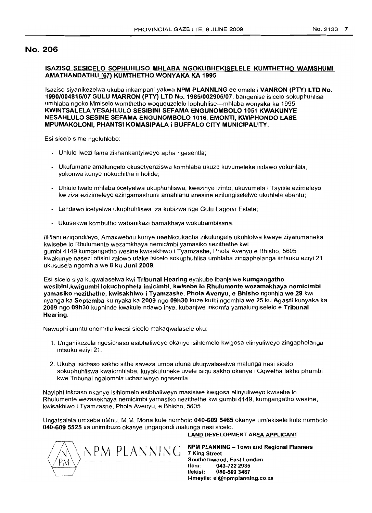# ISAZISO SESICELO SOPHUHLlSO MHLABA NGOKUBHEKISELELE KUMTHETHO WAMSHUMI AMATHANDATHU (67) KUMTHETHO WONYAKA KA 1995

Isaziso siyanikezelwa ukuba inkampani yakwa NPM PLANNLNG cc emele i VANRON (PTY) LTD No. 1990/004816/07 GULU MARRON (PTY) LTD No. 1985/002906/07. bangenise isicelo sokuphuhlisa umhlaba ngoko Mmiselo womthetho woququzelelo lophuhliso-mhlaba wonyaka ka 1995 KWINTSALELA YESAHLULO SESIBINI SEFAMA ENGUNOMBOLO 1051 KWAKUNYE NESAHLULO SESINE SEFAMA ENGUNOMBOLO 1016, EMONTI, KWIPHONDO LASE MPUMAKOLONI, PHANTSI KOMASIPALA i BUFFALO CITY MUNICIPALITY.

Esi sicelo sime ngoluhlobo:

- Uhlulo Iwezi fama zikhankantyiweyo apha ngesentla;
- Ukufumana amalungelo okusetyenziswa komhlaba ukuze kuvumeleke indawo yokuhlala, yokonwa kunye nokuchitha ii holide;
- Uhlulo Iwalo mhlaba ocetyelwa ukuphuhliswa, kwezinye izinto, ukuvumela i Tayitile ezimeleyo kwiziza ezizimeleyo ezingamashumi amahlanu anesine ezilungiselelwe ukuhlala abantu;
- Lendawo icetyelwa ukuphuhliswa iza kubizwa nge Gulu Lagoon Estate;
- Ukusekwa kombutho wabanikazi bamakhaya wokubambisana.

IiPlani eziqondileyo, Amaxwebhu kunye neeNkcukacha zikulungele ukuhlolwa kwaye ziyafumaneka kwisebe 10 Rhulumente wezamkhaya nemicimbi yamasiko nezithethe kwi gumbi 4149 kumgangatho wesine kwisakhiwo i Tyamzashe, Phola Avenyu e Bhisho, 5605 kwakunye nasezi ofisini zalowo ufake isicelo sokuphuhlisa umhlaba zingaphelanga iintsuku eziyi 21 ukususela ngomhla we 8 ku Juni 2009.

Esi sicelo siya kuqwalaselwa kwi Tribunal Hearing eyakube ibanjelwe kumgangatho wesibini,kwigumbi lokuchophela imicimbi, kwisebe 10 Rhulumente wezamakhaya nemicimbi yamasiko nezithethe, kwisakhiwo i Tyamzashe, Phola Avenyu, e Bhisho ngonhla we 29 kwi nyanga ka Septemba ku nyaka ka 2009 ngo 09h30 kuze kuthi ngomhla we 25 ku Agasti kunyaka ka 2009 ngo 09h30 kuphinde kwakule ndawo inye, kubanjwe inkomfa yamalungiselelo e Tribunal Hearing.

Nawuphi umntu onomdla kwesi sicelo makaqwalasele oku:

- 1. Unganikezela ngesichaso esibhaliweyo okanye isihlomelo kwigosa elinyuliweyo zingaphelanga intsuku eziyi 21.
- 2. Ukuba isichaso sakho sithe saveza umba ofuna ukuqwalaselwa malunga nesi sicelo sokuphuhliswa kwalomhlaba, kuyakufuneke uvele isiqu sakho okanye i Gqwetha lakho phambi kwe Tribunal ngalomhla uchaziweyo ngasentla

Nayiphi inkcaso okanye isihlomelo esibhaliweyo masisiwe kwigosa elinyuliweyo kwisebe 10 Rhulumente wezasekhaya nemicimbi yamasiko nezithethe kwi gumbi 4149, kumgangatho wesine, kwisakhiwo i Tyamzashe, Phola Avenyu, e Bhisho, 5605.

Ungatsalela umxeba uMnu. M.M. Mona kule nombolo 040-609 5465 okanye umfekisele kule nombolo 040-609 5525 xa unimibuzo okanye ungaqondi malunga nesi sicelo. LAND DEVELOPMENT AREA APPLICANT

# $\sqrt{\Lambda}$  ,  $\Lambda$  $\langle N \rangle \frac{NPM$  PLANNING  $\setminus$

NPM PLANNING - Town and Regional Planners 7 King Street Southernwood, East London<br>Ifoni: 043-722 2935 Itoni: 043-722 2935 086-509 3487 I-imeyile: el@npmplanning.co.za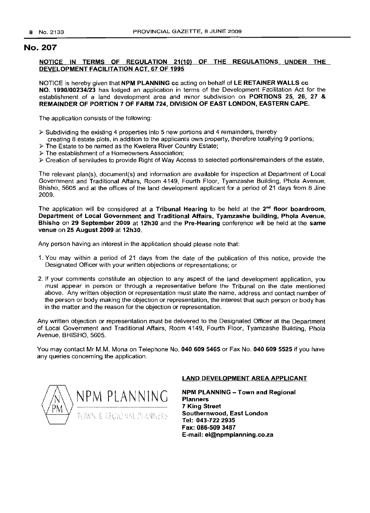# NOTICE IN TERMS OF REGULATION 21(10) OF THE REGULATIONS UNDER THE DEVELOPMENT FACILITATION ACT, 67 OF 1995

NOTICE is hereby given that NPM PLANNING cc acting on behalf of LE RETAINER WALLS cc NO. 1990/00234/23 has lodged an application in terms of the Development Facilitation Act for the establishment of a land development area and minor subdivision on PORTIONS 25, 26, 27 & REMAINDER OF PORTION 7 OF FARM 724, DIVISION OF EAST LONDON, EASTERN CAPE.

The application consists of the following:

- $\triangleright$  Subdividing the existing 4 properties into 5 new portions and 4 remainders, thereby creating 8 estate plots, in addition to the applicants own property, therefore totallying 9 portions;
- > The Estate to be named as the Kwelera River Country Estate;
- The establishment of a Homeowners Association;
- $\triangleright$  Creation of servitudes to provide Right of Way Access to selected portions/remainders of the estate,

The relevant plan(s), document(s) and information are available for inspection at Department of Local Government and Traditional Affairs, Room 4149, Fourth Floor, Tyamzashe Building, Phola Avenue, Bhisho, 5605 and at the offices of the land development applicant for a period of 21 days from 8 Jine 2009.

The application will be considered at a Tribunal Hearing to be held at the 2<sup>nd</sup> floor boardroom, Department of Local Government and Traditional Affairs, Tyamzashe building, Phola Avenue, Bhisho on 29 September 2009 at 12h30 and the Pre-Hearing conference will be held at the same venue on 25 August 2009 at 12h30.

Any person having an interest in the application should please note that:

- 1. You may within a period of 21 days from the date of the publication of this notice, provide the Designated Officer with your written objections or representations; or
- 2. If your comments constitute an objection to any aspect of the land development application, you must appear in person or through a representative before the Tribunal on the date mentioned above. Any written objection or representation must state the name, address and contact number of the person or body making the objection or representation, the interest that such person or body has in the matter and the reason for the objection or representation.

Any written objection or representation must be delivered to the Designated Officer at the Department of Local Government and Traditional Affairs, Room 4149, Fourth Floor, Tyamzashe Building, Phola Avenue, BHISHO, 5605.

You may contact Mr M.M. Mona on Telephone No. 040 609 5465 or Fax No. 040 609 5525 if you have any queries concerning the application.



# LAND DEVELOPMENT AREA APPLICANT

NPM PLANNING - Town and Regional Planners 7 King Street Southernwood, East London Tel: 043-722 2935 Fax: 086-509 3487 E-mail: el@npmplanning.co.za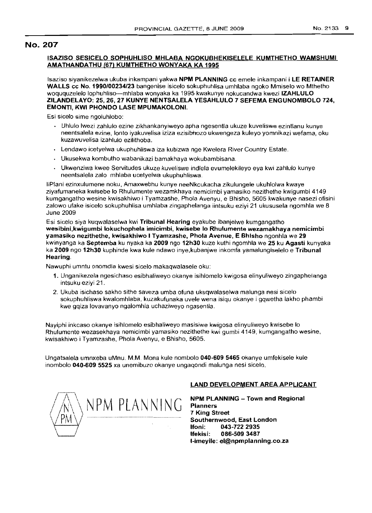# ISAZISO SESICELO SOPHUHLlSO MHLABA NGOKUBHEKISELELE KUMTHETHO WAMSHUMI AMATHANDATHU (67) KUMTHETHO WONYAKA KA 1995

Isaziso siyanikezelwa ukuba inkampani yakwa NPM PLANNING cc emele inkampani i LE RETAINER WALLS cc No. 1990/00234123 bangenise isicelo sokuphuhlisa umhlaba ngoko Mmiselo wo Mthetho woququzelelo lophuhliso---mhlaba wonyaka ka 1995 kwakunye nokucandwa kwezi IZAHLULO ZILANDELAYO: 25, 26, 27 KUNYE NENTSALELA YESAHLULO 7 SEFEMA ENGUNOMBOLO 724, EMONTI, KWI PHONDO LASE MPUMAKOLONI.

Esi sicelo sime ngoluhlobo:

- Uhlulo Iwezi zahlulo ezine zikhankanyiweyo apha ngesentla ukuze kuveliswe ezintlanu kunye neentsalela ezine, lonto iyakuvelisa iziza ezisibhozo ukwengeza kuleyo yomnikazi wefama, oku kuzawuvelisa izahlulo ezilithoba.
- Lendawo icetyelwa ukuphuhliswa iza kubizwa nge Kwelera River Country Estate.
- Ukusekwa kombutho wabanikazi bamakhaya wokubambisana.
- Ukwenziwa kwee Servitudes ukuze kuveliswe indlela evumelekileyo eya kwi zahlulo kunye neentsalela zalo mhlaba ucetyelwa ukuphuhliswa.

liPlani ezinxulumene noku, Amaxwebhu kunye neeNkcukacha zikulungele ukuhlolwa kwaye ziyafumaneka kwisebe 10 Rhulumente wezamkhaya nemicimbi yamasiko nezithethe kwigumbi 4149 kumgangatho wesine kwisakhiwo i Tyamzashe, Phola Avenyu, e Bhisho, 5605 kwakunye nasezi ofisini zalowo ufake isicelo sokuphuhlisa umhlaba zingaphelanga iintsuku eziyi 21 ukususela nqornhla we 8 June 2009

Esi sicelo siya kuqwalaselwa kwi Tribunal Hearing eyakube ibanjelwe kumgangatho wesibini,kwigumbi lokuchophela imicimbi, kwisebe 10 Rhulumente wezamakhaya nemicimbi yamasiko nezithethe, kwisakhiwo I Tyamzashe, Phola Avenue, E Bhisho ngonhla we 29 kwinyanga ka Septemba ku nyaka ka 2009 ngo 12h30 kuze kuthi ngomhla we 25 ku Agasti kunyaka ka 2009 ngo 12h30 kuphinde kwa kule ndawo inye,kubanjwe inkomfa yamalungiselelo e Tribunal Hearing.

Nawuphi umntu onomdla kwesi sicelo makaqwalasele oku:

- 1. Unganikezela ngesichaso esibhaliweyo okanye isihlomelo kwigosa elinyuliweyo zingaphelanga intsuku eziyi 21.
- 2. Ukuba isichaso sakho sithe saveza umba ofuna ukuqwalaselwa malunga nesi sicelo sokuphuhliswa kwalomhlaba, kuzakufunaka uvele wena isiqu okanye i gqwetha lakho phambi kwe gqiza lovavanyo ngalomhla uchaziweyo ngasentla.

Nayiphi inkcaso okanye isihlomelo esibhaliweyo masisiwe kwigosa elinyuliweyo kwisebe 10 Rhulumente wezasekhaya nemicimbi yamasiko nezithethe kwi gumbi 4149, kumgangatho wesine, kwisakhiwo i Tyamzashe, Phola Avenyu, e Bhisho, 5605.

Ungatsalela umnxeba uMnu. M.M. Mona kule nombolo 040·6095465 okanye umfekisele kule inombolo 040-609 5525 xa unemibuzo okanye ungaqondi malunga nesi sicelo.



# LANP DEYELOPMENT AREA APPLICANT

 $NPM$   $PLANNING$  Planners Planners 7 King Street Southernwood, East London<br>Ifoni: 043-722 2935 lfoni: 043-722 2935<br>Ifekisi: 086-509 3487 086-509 3487 I-imeyile: el@npmplanning.co.za